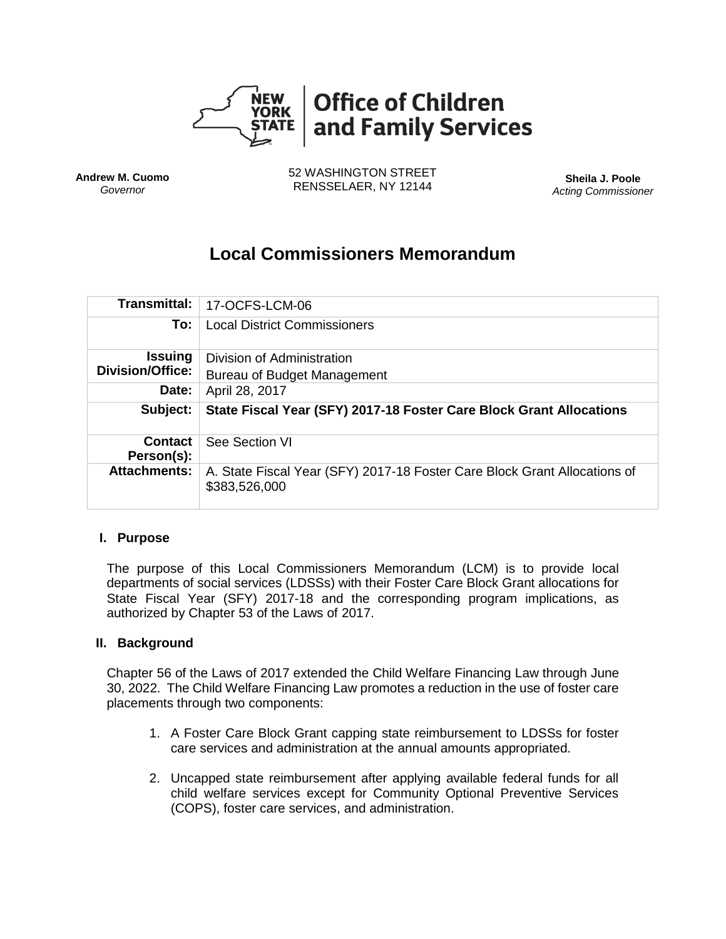

**Andrew M. Cuomo** *Governor*

52 WASHINGTON STREET RENSSELAER, NY 12144 **Sheila J. Poole**

*Acting Commissioner*

# **Local Commissioners Memorandum**

| <b>Transmittal:</b>          | 17-OCFS-LCM-06                                                      |
|------------------------------|---------------------------------------------------------------------|
| To:                          | <b>Local District Commissioners</b>                                 |
| <b>Issuing</b>               | Division of Administration                                          |
| <b>Division/Office:</b>      | Bureau of Budget Management                                         |
| Date:                        | April 28, 2017                                                      |
|                              |                                                                     |
| Subject:                     | State Fiscal Year (SFY) 2017-18 Foster Care Block Grant Allocations |
| <b>Contact</b><br>Person(s): | See Section VI                                                      |

#### **I. Purpose**

The purpose of this Local Commissioners Memorandum (LCM) is to provide local departments of social services (LDSSs) with their Foster Care Block Grant allocations for State Fiscal Year (SFY) 2017-18 and the corresponding program implications, as authorized by Chapter 53 of the Laws of 2017.

#### **II. Background**

Chapter 56 of the Laws of 2017 extended the Child Welfare Financing Law through June 30, 2022. The Child Welfare Financing Law promotes a reduction in the use of foster care placements through two components:

- 1. A Foster Care Block Grant capping state reimbursement to LDSSs for foster care services and administration at the annual amounts appropriated.
- 2. Uncapped state reimbursement after applying available federal funds for all child welfare services except for Community Optional Preventive Services (COPS), foster care services, and administration.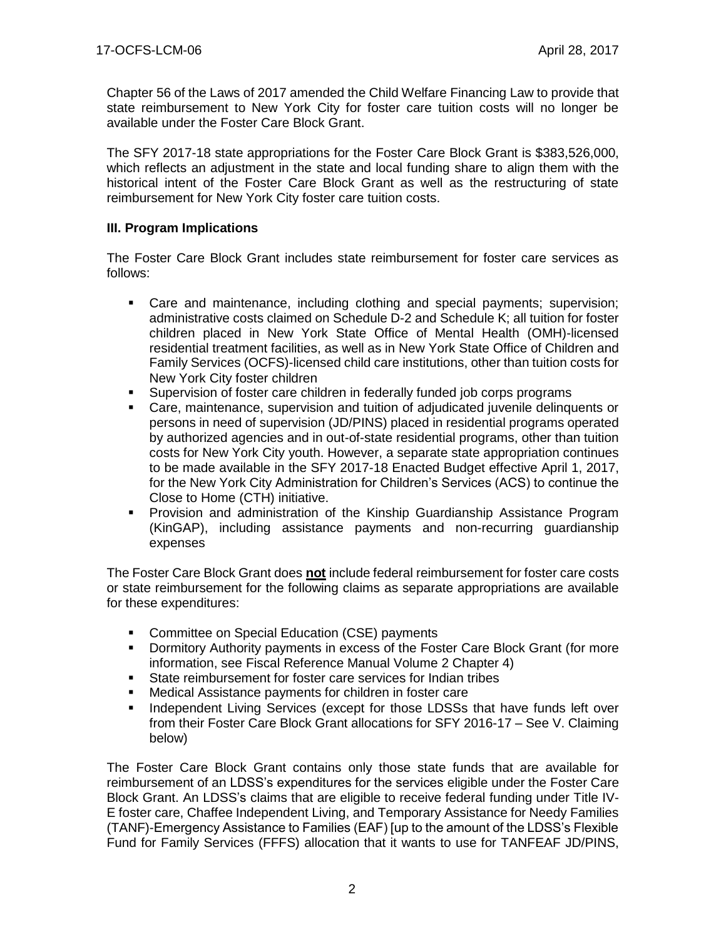Chapter 56 of the Laws of 2017 amended the Child Welfare Financing Law to provide that state reimbursement to New York City for foster care tuition costs will no longer be available under the Foster Care Block Grant.

The SFY 2017-18 state appropriations for the Foster Care Block Grant is \$383,526,000, which reflects an adjustment in the state and local funding share to align them with the historical intent of the Foster Care Block Grant as well as the restructuring of state reimbursement for New York City foster care tuition costs.

## **III. Program Implications**

The Foster Care Block Grant includes state reimbursement for foster care services as follows:

- Care and maintenance, including clothing and special payments; supervision; administrative costs claimed on Schedule D-2 and Schedule K; all tuition for foster children placed in New York State Office of Mental Health (OMH)-licensed residential treatment facilities, as well as in New York State Office of Children and Family Services (OCFS)-licensed child care institutions, other than tuition costs for New York City foster children
- Supervision of foster care children in federally funded job corps programs
- Care, maintenance, supervision and tuition of adjudicated juvenile delinquents or persons in need of supervision (JD/PINS) placed in residential programs operated by authorized agencies and in out-of-state residential programs, other than tuition costs for New York City youth. However, a separate state appropriation continues to be made available in the SFY 2017-18 Enacted Budget effective April 1, 2017, for the New York City Administration for Children's Services (ACS) to continue the Close to Home (CTH) initiative.
- **Provision and administration of the Kinship Guardianship Assistance Program** (KinGAP), including assistance payments and non-recurring guardianship expenses

The Foster Care Block Grant does **not** include federal reimbursement for foster care costs or state reimbursement for the following claims as separate appropriations are available for these expenditures:

- **Committee on Special Education (CSE) payments**
- Dormitory Authority payments in excess of the Foster Care Block Grant (for more information, see Fiscal Reference Manual Volume 2 Chapter 4)
- State reimbursement for foster care services for Indian tribes
- Medical Assistance payments for children in foster care
- Independent Living Services (except for those LDSSs that have funds left over from their Foster Care Block Grant allocations for SFY 2016-17 – See V. Claiming below)

The Foster Care Block Grant contains only those state funds that are available for reimbursement of an LDSS's expenditures for the services eligible under the Foster Care Block Grant. An LDSS's claims that are eligible to receive federal funding under Title IV-E foster care, Chaffee Independent Living, and Temporary Assistance for Needy Families (TANF)-Emergency Assistance to Families (EAF) [up to the amount of the LDSS's Flexible Fund for Family Services (FFFS) allocation that it wants to use for TANFEAF JD/PINS,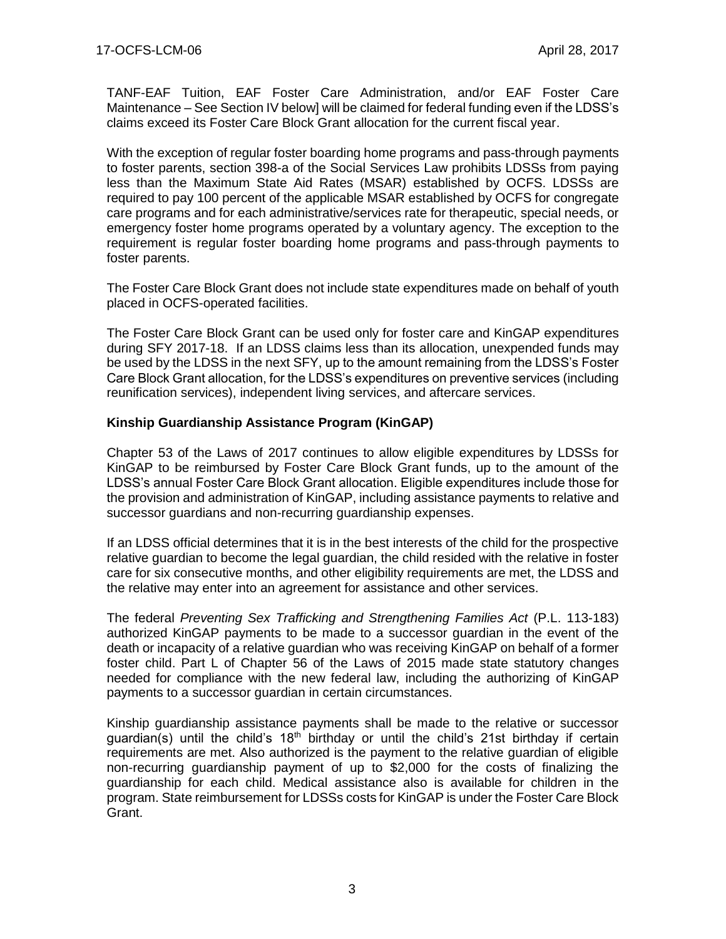TANF-EAF Tuition, EAF Foster Care Administration, and/or EAF Foster Care Maintenance – See Section IV below] will be claimed for federal funding even if the LDSS's claims exceed its Foster Care Block Grant allocation for the current fiscal year.

With the exception of regular foster boarding home programs and pass-through payments to foster parents, section 398-a of the Social Services Law prohibits LDSSs from paying less than the Maximum State Aid Rates (MSAR) established by OCFS. LDSSs are required to pay 100 percent of the applicable MSAR established by OCFS for congregate care programs and for each administrative/services rate for therapeutic, special needs, or emergency foster home programs operated by a voluntary agency. The exception to the requirement is regular foster boarding home programs and pass-through payments to foster parents.

The Foster Care Block Grant does not include state expenditures made on behalf of youth placed in OCFS-operated facilities.

The Foster Care Block Grant can be used only for foster care and KinGAP expenditures during SFY 2017-18. If an LDSS claims less than its allocation, unexpended funds may be used by the LDSS in the next SFY, up to the amount remaining from the LDSS's Foster Care Block Grant allocation, for the LDSS's expenditures on preventive services (including reunification services), independent living services, and aftercare services.

#### **Kinship Guardianship Assistance Program (KinGAP)**

Chapter 53 of the Laws of 2017 continues to allow eligible expenditures by LDSSs for KinGAP to be reimbursed by Foster Care Block Grant funds, up to the amount of the LDSS's annual Foster Care Block Grant allocation. Eligible expenditures include those for the provision and administration of KinGAP, including assistance payments to relative and successor guardians and non-recurring guardianship expenses.

If an LDSS official determines that it is in the best interests of the child for the prospective relative guardian to become the legal guardian, the child resided with the relative in foster care for six consecutive months, and other eligibility requirements are met, the LDSS and the relative may enter into an agreement for assistance and other services.

The federal *Preventing Sex Trafficking and Strengthening Families Act* (P.L. 113-183) authorized KinGAP payments to be made to a successor guardian in the event of the death or incapacity of a relative guardian who was receiving KinGAP on behalf of a former foster child. Part L of Chapter 56 of the Laws of 2015 made state statutory changes needed for compliance with the new federal law, including the authorizing of KinGAP payments to a successor guardian in certain circumstances.

Kinship guardianship assistance payments shall be made to the relative or successor guardian(s) until the child's  $18<sup>th</sup>$  birthday or until the child's 21st birthday if certain requirements are met. Also authorized is the payment to the relative guardian of eligible non-recurring guardianship payment of up to \$2,000 for the costs of finalizing the guardianship for each child. Medical assistance also is available for children in the program. State reimbursement for LDSSs costs for KinGAP is under the Foster Care Block Grant.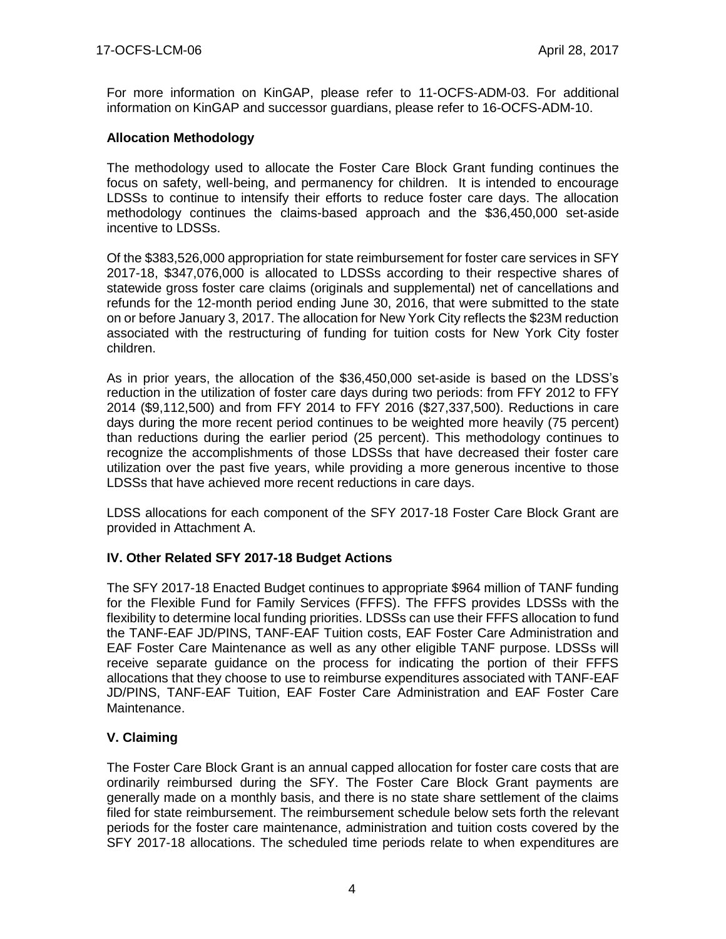For more information on KinGAP, please refer to 11-OCFS-ADM-03. For additional information on KinGAP and successor guardians, please refer to 16-OCFS-ADM-10.

## **Allocation Methodology**

The methodology used to allocate the Foster Care Block Grant funding continues the focus on safety, well-being, and permanency for children. It is intended to encourage LDSSs to continue to intensify their efforts to reduce foster care days. The allocation methodology continues the claims-based approach and the \$36,450,000 set-aside incentive to LDSSs.

Of the \$383,526,000 appropriation for state reimbursement for foster care services in SFY 2017-18, \$347,076,000 is allocated to LDSSs according to their respective shares of statewide gross foster care claims (originals and supplemental) net of cancellations and refunds for the 12-month period ending June 30, 2016, that were submitted to the state on or before January 3, 2017. The allocation for New York City reflects the \$23M reduction associated with the restructuring of funding for tuition costs for New York City foster children.

As in prior years, the allocation of the \$36,450,000 set-aside is based on the LDSS's reduction in the utilization of foster care days during two periods: from FFY 2012 to FFY 2014 (\$9,112,500) and from FFY 2014 to FFY 2016 (\$27,337,500). Reductions in care days during the more recent period continues to be weighted more heavily (75 percent) than reductions during the earlier period (25 percent). This methodology continues to recognize the accomplishments of those LDSSs that have decreased their foster care utilization over the past five years, while providing a more generous incentive to those LDSSs that have achieved more recent reductions in care days.

LDSS allocations for each component of the SFY 2017-18 Foster Care Block Grant are provided in Attachment A.

#### **IV. Other Related SFY 2017-18 Budget Actions**

The SFY 2017-18 Enacted Budget continues to appropriate \$964 million of TANF funding for the Flexible Fund for Family Services (FFFS). The FFFS provides LDSSs with the flexibility to determine local funding priorities. LDSSs can use their FFFS allocation to fund the TANF-EAF JD/PINS, TANF-EAF Tuition costs, EAF Foster Care Administration and EAF Foster Care Maintenance as well as any other eligible TANF purpose. LDSSs will receive separate guidance on the process for indicating the portion of their FFFS allocations that they choose to use to reimburse expenditures associated with TANF-EAF JD/PINS, TANF-EAF Tuition, EAF Foster Care Administration and EAF Foster Care Maintenance.

# **V. Claiming**

The Foster Care Block Grant is an annual capped allocation for foster care costs that are ordinarily reimbursed during the SFY. The Foster Care Block Grant payments are generally made on a monthly basis, and there is no state share settlement of the claims filed for state reimbursement. The reimbursement schedule below sets forth the relevant periods for the foster care maintenance, administration and tuition costs covered by the SFY 2017-18 allocations. The scheduled time periods relate to when expenditures are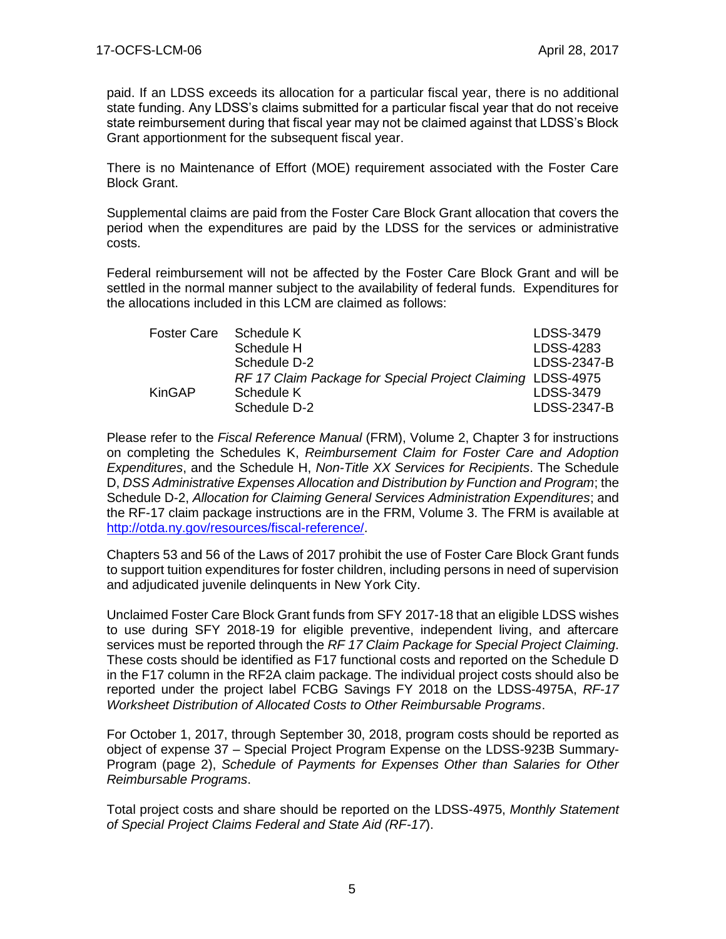paid. If an LDSS exceeds its allocation for a particular fiscal year, there is no additional state funding. Any LDSS's claims submitted for a particular fiscal year that do not receive state reimbursement during that fiscal year may not be claimed against that LDSS's Block Grant apportionment for the subsequent fiscal year.

There is no Maintenance of Effort (MOE) requirement associated with the Foster Care Block Grant.

Supplemental claims are paid from the Foster Care Block Grant allocation that covers the period when the expenditures are paid by the LDSS for the services or administrative costs.

Federal reimbursement will not be affected by the Foster Care Block Grant and will be settled in the normal manner subject to the availability of federal funds. Expenditures for the allocations included in this LCM are claimed as follows:

| <b>Foster Care</b> | Schedule K                                                 | LDSS-3479   |
|--------------------|------------------------------------------------------------|-------------|
|                    | Schedule H                                                 | LDSS-4283   |
|                    | Schedule D-2                                               | LDSS-2347-B |
|                    | RF 17 Claim Package for Special Project Claiming LDSS-4975 |             |
| <b>KinGAP</b>      | Schedule K                                                 | LDSS-3479   |
|                    | Schedule D-2                                               | LDSS-2347-B |

Please refer to the *Fiscal Reference Manual* (FRM), Volume 2, Chapter 3 for instructions on completing the Schedules K, *Reimbursement Claim for Foster Care and Adoption Expenditures*, and the Schedule H, *Non-Title XX Services for Recipients*. The Schedule D, *DSS Administrative Expenses Allocation and Distribution by Function and Program*; the Schedule D-2, *Allocation for Claiming General Services Administration Expenditures*; and the RF-17 claim package instructions are in the FRM, Volume 3. The FRM is available at [http://otda.ny.gov/resources/fiscal-reference/.](http://otda.ny.gov/resources/fiscal-reference/)

Chapters 53 and 56 of the Laws of 2017 prohibit the use of Foster Care Block Grant funds to support tuition expenditures for foster children, including persons in need of supervision and adjudicated juvenile delinquents in New York City.

Unclaimed Foster Care Block Grant funds from SFY 2017-18 that an eligible LDSS wishes to use during SFY 2018-19 for eligible preventive, independent living, and aftercare services must be reported through the *RF 17 Claim Package for Special Project Claiming*. These costs should be identified as F17 functional costs and reported on the Schedule D in the F17 column in the RF2A claim package. The individual project costs should also be reported under the project label FCBG Savings FY 2018 on the LDSS-4975A, *RF-17 Worksheet Distribution of Allocated Costs to Other Reimbursable Programs*.

For October 1, 2017, through September 30, 2018, program costs should be reported as object of expense 37 – Special Project Program Expense on the LDSS-923B Summary-Program (page 2), *Schedule of Payments for Expenses Other than Salaries for Other Reimbursable Programs*.

Total project costs and share should be reported on the LDSS-4975, *Monthly Statement of Special Project Claims Federal and State Aid (RF-17*).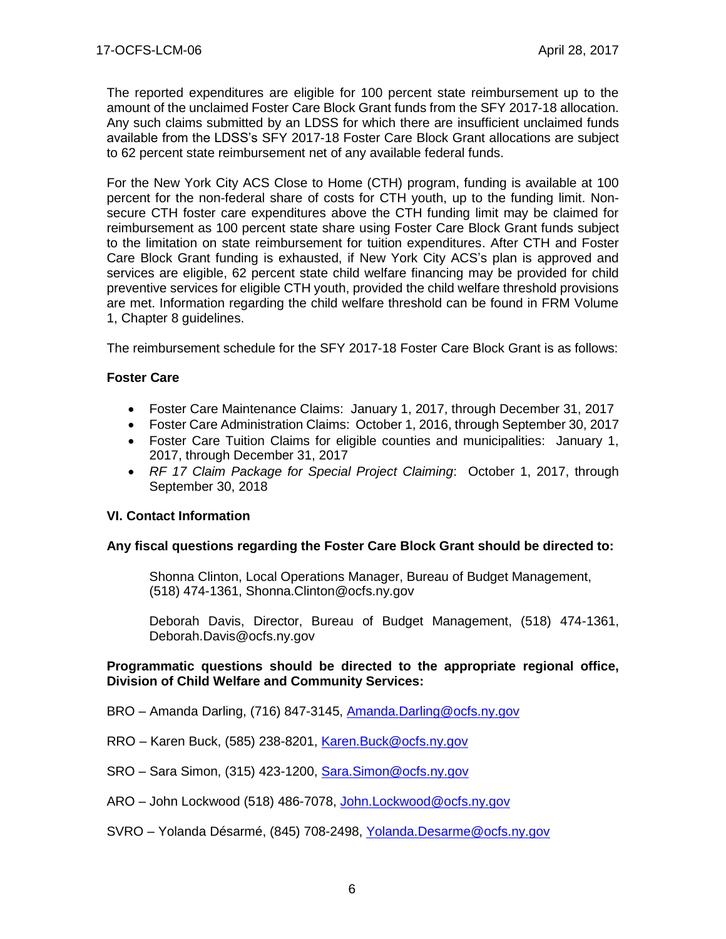The reported expenditures are eligible for 100 percent state reimbursement up to the amount of the unclaimed Foster Care Block Grant funds from the SFY 2017-18 allocation. Any such claims submitted by an LDSS for which there are insufficient unclaimed funds available from the LDSS's SFY 2017-18 Foster Care Block Grant allocations are subject to 62 percent state reimbursement net of any available federal funds.

For the New York City ACS Close to Home (CTH) program, funding is available at 100 percent for the non-federal share of costs for CTH youth, up to the funding limit. Nonsecure CTH foster care expenditures above the CTH funding limit may be claimed for reimbursement as 100 percent state share using Foster Care Block Grant funds subject to the limitation on state reimbursement for tuition expenditures. After CTH and Foster Care Block Grant funding is exhausted, if New York City ACS's plan is approved and services are eligible, 62 percent state child welfare financing may be provided for child preventive services for eligible CTH youth, provided the child welfare threshold provisions are met. Information regarding the child welfare threshold can be found in FRM Volume 1, Chapter 8 guidelines.

The reimbursement schedule for the SFY 2017-18 Foster Care Block Grant is as follows:

#### **Foster Care**

- Foster Care Maintenance Claims: January 1, 2017, through December 31, 2017
- Foster Care Administration Claims: October 1, 2016, through September 30, 2017
- Foster Care Tuition Claims for eligible counties and municipalities: January 1, 2017, through December 31, 2017
- *RF 17 Claim Package for Special Project Claiming*: October 1, 2017, through September 30, 2018

#### **VI. Contact Information**

#### **Any fiscal questions regarding the Foster Care Block Grant should be directed to:**

Shonna Clinton, Local Operations Manager, Bureau of Budget Management, (518) 474-1361, Shonna.Clinton@ocfs.ny.gov

Deborah Davis, Director, Bureau of Budget Management, (518) 474-1361, Deborah.Davis@ocfs.ny.gov

#### **Programmatic questions should be directed to the appropriate regional office, Division of Child Welfare and Community Services:**

- BRO Amanda Darling, (716) 847-3145, [Amanda.Darling@ocfs.ny.gov](mailto:Amanda.Darling@ocfs.ny.gov)
- RRO Karen Buck, (585) 238-8201, [Karen.Buck@ocfs.ny.gov](mailto:Karen.Buck@ocfs.ny.gov)
- SRO Sara Simon, (315) 423-1200, [Sara.Simon@ocfs.ny.gov](mailto:Sara.Simon@ocfs.ny.gov)
- ARO John Lockwood (518) 486-7078, [John.Lockwood@ocfs.ny.gov](mailto:John.Lockwood@ocfs.ny.gov)
- SVRO Yolanda Désarmé, (845) 708-2498, [Yolanda.Desarme@ocfs.ny.gov](mailto:Yolanda.Desarme@ocfs.ny.gov)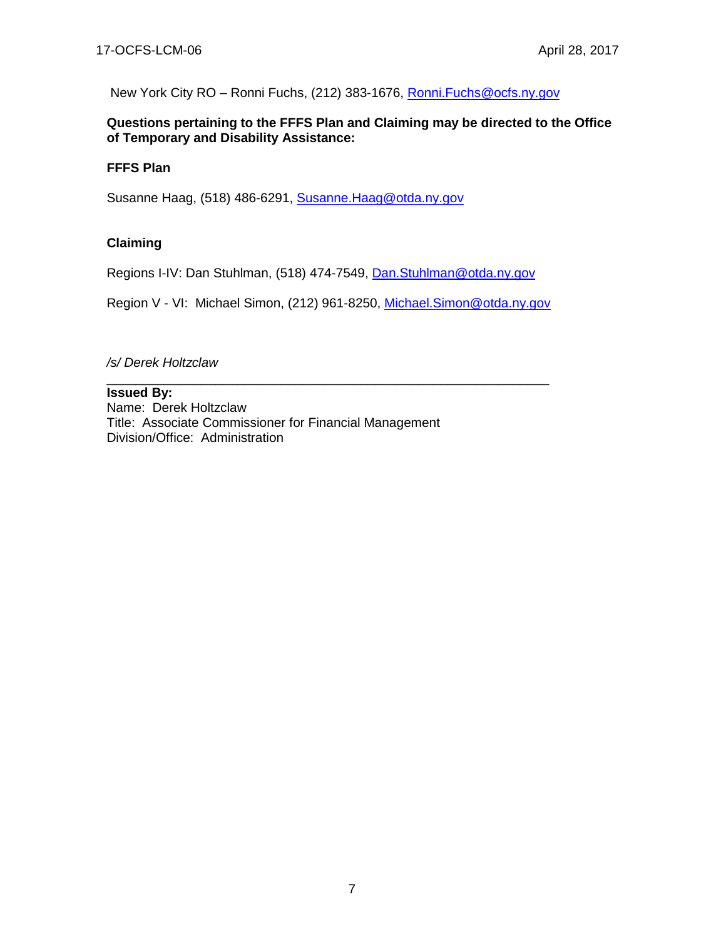New York City RO - Ronni Fuchs, (212) 383-1676, Ronni. Fuchs@ocfs.ny.gov

#### **Questions pertaining to the FFFS Plan and Claiming may be directed to the Office of Temporary and Disability Assistance:**

## **FFFS Plan**

Susanne Haag, (518) 486-6291, [Susanne.Haag@otda.ny.gov](mailto:Susanne.Haag@otda.ny.gov)

## **Claiming**

Regions I-IV: Dan Stuhlman, (518) 474-7549, [Dan.Stuhlman@otda.ny.gov](mailto:Dan.Stuhlman@otda.ny.gov)

Region V - VI: Michael Simon, (212) 961-8250, [Michael.Simon@otda.ny.gov](mailto:Michael.Simon@otda.ny.gov)

\_\_\_\_\_\_\_\_\_\_\_\_\_\_\_\_\_\_\_\_\_\_\_\_\_\_\_\_\_\_\_\_\_\_\_\_\_\_\_\_\_\_\_\_\_\_\_\_\_\_\_\_\_\_\_\_\_\_\_\_\_

*/s/ Derek Holtzclaw*

## **Issued By:**

Name: Derek Holtzclaw Title: Associate Commissioner for Financial Management Division/Office: Administration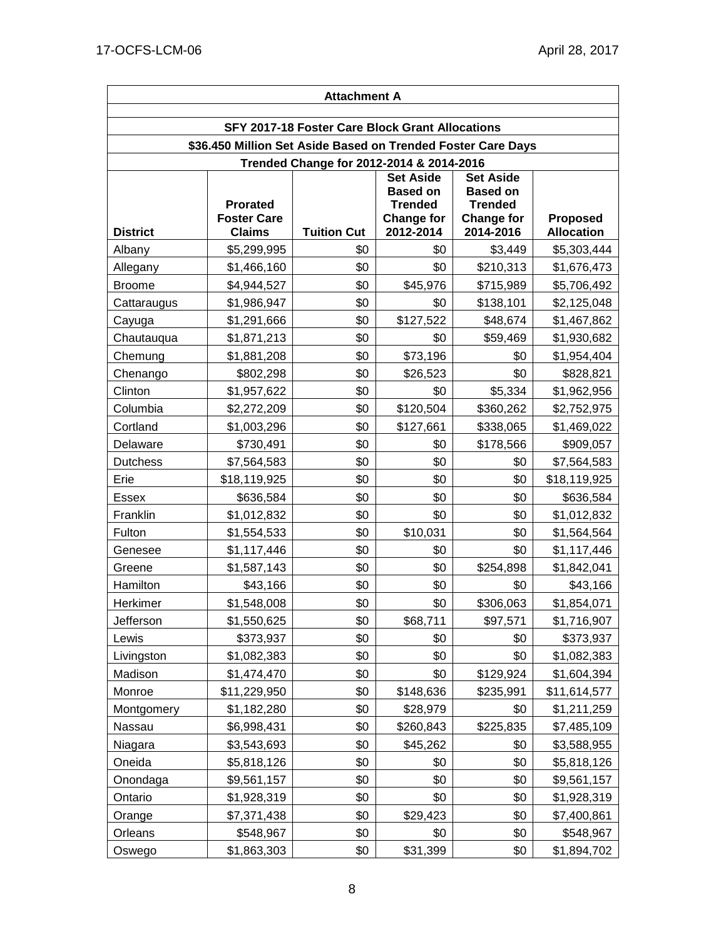| <b>Attachment A</b>                                          |                                                        |                                          |                                                                                         |                                                                                         |                               |  |  |  |  |
|--------------------------------------------------------------|--------------------------------------------------------|------------------------------------------|-----------------------------------------------------------------------------------------|-----------------------------------------------------------------------------------------|-------------------------------|--|--|--|--|
| SFY 2017-18 Foster Care Block Grant Allocations              |                                                        |                                          |                                                                                         |                                                                                         |                               |  |  |  |  |
| \$36.450 Million Set Aside Based on Trended Foster Care Days |                                                        |                                          |                                                                                         |                                                                                         |                               |  |  |  |  |
|                                                              |                                                        | Trended Change for 2012-2014 & 2014-2016 |                                                                                         |                                                                                         |                               |  |  |  |  |
| <b>District</b>                                              | <b>Prorated</b><br><b>Foster Care</b><br><b>Claims</b> | <b>Tuition Cut</b>                       | <b>Set Aside</b><br><b>Based on</b><br><b>Trended</b><br><b>Change for</b><br>2012-2014 | <b>Set Aside</b><br><b>Based on</b><br><b>Trended</b><br><b>Change for</b><br>2014-2016 | Proposed<br><b>Allocation</b> |  |  |  |  |
| Albany                                                       | \$5,299,995                                            | \$0                                      | \$0                                                                                     | \$3,449                                                                                 | \$5,303,444                   |  |  |  |  |
| Allegany                                                     | \$1,466,160                                            | \$0                                      | \$0                                                                                     | \$210,313                                                                               | \$1,676,473                   |  |  |  |  |
| <b>Broome</b>                                                | \$4,944,527                                            | \$0                                      | \$45,976                                                                                | \$715,989                                                                               | \$5,706,492                   |  |  |  |  |
| Cattaraugus                                                  | \$1,986,947                                            | \$0                                      | \$0                                                                                     | \$138,101                                                                               | \$2,125,048                   |  |  |  |  |
| Cayuga                                                       | \$1,291,666                                            | \$0                                      | \$127,522                                                                               | \$48,674                                                                                | \$1,467,862                   |  |  |  |  |
| Chautauqua                                                   | \$1,871,213                                            | \$0                                      | \$0                                                                                     | \$59,469                                                                                | \$1,930,682                   |  |  |  |  |
| Chemung                                                      | \$1,881,208                                            | \$0                                      | \$73,196                                                                                | \$0                                                                                     | \$1,954,404                   |  |  |  |  |
| Chenango                                                     | \$802,298                                              | \$0                                      | \$26,523                                                                                | \$0                                                                                     | \$828,821                     |  |  |  |  |
| Clinton                                                      | \$1,957,622                                            | \$0                                      | \$0                                                                                     | \$5,334                                                                                 | \$1,962,956                   |  |  |  |  |
| Columbia                                                     | \$2,272,209                                            | \$0                                      | \$120,504                                                                               | \$360,262                                                                               | \$2,752,975                   |  |  |  |  |
| Cortland                                                     | \$1,003,296                                            | \$0                                      | \$127,661                                                                               | \$338,065                                                                               | \$1,469,022                   |  |  |  |  |
| Delaware                                                     | \$730,491                                              | \$0                                      | \$0                                                                                     | \$178,566                                                                               | \$909,057                     |  |  |  |  |
| <b>Dutchess</b>                                              | \$7,564,583                                            | \$0                                      | \$0                                                                                     | \$0                                                                                     | \$7,564,583                   |  |  |  |  |
| Erie                                                         | \$18,119,925                                           | \$0                                      | \$0                                                                                     | \$0                                                                                     | \$18,119,925                  |  |  |  |  |
| <b>Essex</b>                                                 | \$636,584                                              | \$0                                      | \$0                                                                                     | \$0                                                                                     | \$636,584                     |  |  |  |  |
| Franklin                                                     | \$1,012,832                                            | \$0                                      | \$0                                                                                     | \$0                                                                                     | \$1,012,832                   |  |  |  |  |
| Fulton                                                       | \$1,554,533                                            | \$0                                      | \$10,031                                                                                | \$0                                                                                     | \$1,564,564                   |  |  |  |  |
| Genesee                                                      | \$1,117,446                                            | \$0                                      | \$0                                                                                     | \$0                                                                                     | \$1,117,446                   |  |  |  |  |
| Greene                                                       | \$1,587,143                                            | \$0                                      | \$0                                                                                     | \$254,898                                                                               | \$1,842,041                   |  |  |  |  |
| Hamilton                                                     | \$43,166                                               | \$0                                      | \$0                                                                                     | \$0                                                                                     | \$43,166                      |  |  |  |  |
| Herkimer                                                     | \$1,548,008                                            | \$0                                      | \$0                                                                                     | \$306,063                                                                               | \$1,854,071                   |  |  |  |  |
| Jefferson                                                    | \$1,550,625                                            | \$0                                      | \$68,711                                                                                | \$97,571                                                                                | \$1,716,907                   |  |  |  |  |
| Lewis                                                        | \$373,937                                              | \$0                                      | \$0                                                                                     | \$0                                                                                     | \$373,937                     |  |  |  |  |
| Livingston                                                   | \$1,082,383                                            | \$0                                      | \$0                                                                                     | \$0                                                                                     | \$1,082,383                   |  |  |  |  |
| Madison                                                      | \$1,474,470                                            | \$0                                      | \$0                                                                                     | \$129,924                                                                               | \$1,604,394                   |  |  |  |  |
| Monroe                                                       | \$11,229,950                                           | \$0                                      | \$148,636                                                                               | \$235,991                                                                               | \$11,614,577                  |  |  |  |  |
| Montgomery                                                   | \$1,182,280                                            | \$0                                      | \$28,979                                                                                | \$0                                                                                     | \$1,211,259                   |  |  |  |  |
| Nassau                                                       | \$6,998,431                                            | \$0                                      | \$260,843                                                                               | \$225,835                                                                               | \$7,485,109                   |  |  |  |  |
| Niagara                                                      | \$3,543,693                                            | \$0                                      | \$45,262                                                                                | \$0                                                                                     | \$3,588,955                   |  |  |  |  |
| Oneida                                                       | \$5,818,126                                            | \$0                                      | \$0                                                                                     | \$0                                                                                     | \$5,818,126                   |  |  |  |  |
| Onondaga                                                     | \$9,561,157                                            | \$0                                      | \$0                                                                                     | \$0                                                                                     | \$9,561,157                   |  |  |  |  |
| Ontario                                                      | \$1,928,319                                            | \$0                                      | \$0                                                                                     | \$0                                                                                     | \$1,928,319                   |  |  |  |  |
| Orange                                                       | \$7,371,438                                            | \$0                                      | \$29,423                                                                                | \$0                                                                                     | \$7,400,861                   |  |  |  |  |
| Orleans                                                      | \$548,967                                              | \$0                                      | \$0                                                                                     | \$0                                                                                     | \$548,967                     |  |  |  |  |
| Oswego                                                       | \$1,863,303                                            | \$0                                      | \$31,399                                                                                | \$0                                                                                     | \$1,894,702                   |  |  |  |  |